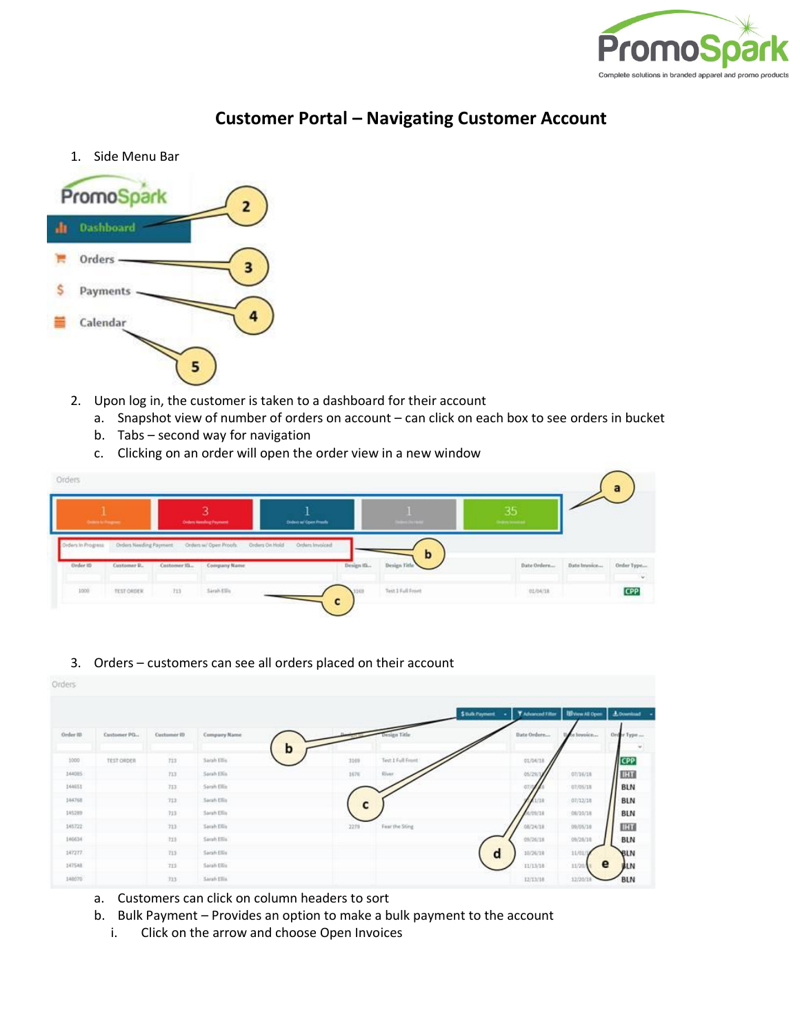

## **Customer Portal – Navigating Customer Account**

1. Side Menu Bar



- 2. Upon log in, the customer is taken to a dashboard for their account
	- a. Snapshot view of number of orders on account can click on each box to see orders in bucket
	- b. Tabs second way for navigation
	- c. Clicking on an order will open the order view in a new window

| <b>Colorado Freguesia</b> |                        |               | R<br><b>Criders Needing Payment</b> | <b>Criters of Corn Prests</b>            |            | <b>CONTRACTOR</b> | 35<br><b>Chairm brandout</b> |              |                      |
|---------------------------|------------------------|---------------|-------------------------------------|------------------------------------------|------------|-------------------|------------------------------|--------------|----------------------|
| Drders In Progress.       | Orders Needing Payment |               | Orders w/ Open Proofs               | Orders Invoiced<br><b>Orders On Hold</b> |            | b                 |                              |              |                      |
|                           |                        |               |                                     |                                          |            |                   |                              |              |                      |
| Order ID                  | Customer P.,           | Customer IIL. | Company Name<br>1000 S D + 17       |                                          | Design IG. | Design Title      | Date Ordere                  | Date Invoice | Order Type<br>انيا ( |

3. Orders – customers can see all orders placed on their account

| Orders   |               |             |              |   |      |                   |                 |                   |                          |                   |
|----------|---------------|-------------|--------------|---|------|-------------------|-----------------|-------------------|--------------------------|-------------------|
|          |               |             |              |   |      |                   | \$ Bulk Payment | Y Advanced Filter | <b>III</b> View All Open | <b>A</b> Download |
| Order 15 | Costomer PO., | Customer ID | Company Name |   |      | sign Title        |                 | Date Orders       | e brevoice               | Order Type        |
| 1000     | TEST ORDER    | 713         | Sarah Ellis  | b | 3169 | Text 1 Full Front |                 | 01/04/18          |                          | <b>CPP</b>        |
| 144085   |               | 713         | Sarah Ellis  |   | 1676 | River:            |                 | 05/29/            | 07/16/18                 | ELLI              |
| 144651   |               | 713         | Sarah Ellis  |   |      |                   |                 | 073               | 07/05/18                 | <b>BLN</b>        |
| 144768   |               | 713         | Sarah Ellis  |   | c    |                   |                 | 1/18              | 07/12/18                 | <b>BLN</b>        |
| 145289   |               | 713         | Saish Ellis  |   |      |                   |                 | BIZVOVA           | 08/10/18                 | <b>BLN</b>        |
| 145722   |               | 713         | Sarah Ellis  |   | 2278 | Fear the Sting    |                 | 08/24/18          | 09/05/18                 | <b>HT</b>         |
| 146634   |               | 713         | Sarah Ellis  |   |      |                   |                 | 09/26/18          | 09/28/18                 | <b>BLN</b>        |
| 147277   |               | 713         | Sarah Ellis  |   |      |                   | d               | 10/26/18          | 11/01/9                  | BLN               |
| 147548   |               | 713         | Saish Ellis  |   |      |                   |                 | 11/13/18          | 11/20/W                  | e<br><b>BLN</b>   |
| 148070   |               | 713         | Sarah Ellis  |   |      |                   |                 | 12/13/18          | 12/20/18                 | <b>BLN</b>        |

- a. Customers can click on column headers to sort
- b. Bulk Payment Provides an option to make a bulk payment to the account
	- i. Click on the arrow and choose Open Invoices